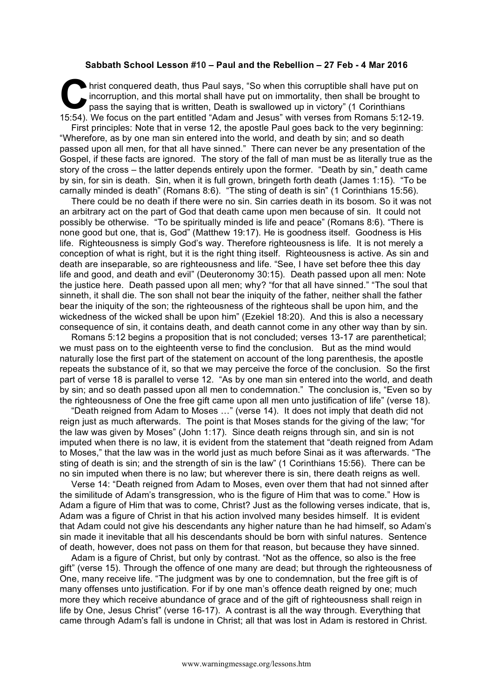## **Sabbath School Lesson #10 – Paul and the Rebellion – 27 Feb - 4 Mar 2016**

hrist conquered death, thus Paul says, "So when this corruptible shall have put on incorruption, and this mortal shall have put on immortality, then shall be brought to pass the saying that is written, Death is swallowed u incorruption, and this mortal shall have put on immortality, then shall be brought to pass the saying that is written, Death is swallowed up in victory" (1 Corinthians 15:54). We focus on the part entitled "Adam and Jesus" with verses from Romans 5:12-19.

First principles: Note that in verse 12, the apostle Paul goes back to the very beginning: "Wherefore, as by one man sin entered into the world, and death by sin; and so death passed upon all men, for that all have sinned." There can never be any presentation of the Gospel, if these facts are ignored. The story of the fall of man must be as literally true as the story of the cross – the latter depends entirely upon the former. "Death by sin," death came by sin, for sin is death. Sin, when it is full grown, bringeth forth death (James 1:15). "To be carnally minded is death" (Romans 8:6). "The sting of death is sin" (1 Corinthians 15:56).

There could be no death if there were no sin. Sin carries death in its bosom. So it was not an arbitrary act on the part of God that death came upon men because of sin. It could not possibly be otherwise. "To be spiritually minded is life and peace" (Romans 8:6). "There is none good but one, that is, God" (Matthew 19:17). He is goodness itself. Goodness is His life. Righteousness is simply God's way. Therefore righteousness is life. It is not merely a conception of what is right, but it is the right thing itself. Righteousness is active. As sin and death are inseparable, so are righteousness and life. "See, I have set before thee this day life and good, and death and evil" (Deuteronomy 30:15). Death passed upon all men: Note the justice here. Death passed upon all men; why? "for that all have sinned." "The soul that sinneth, it shall die. The son shall not bear the iniquity of the father, neither shall the father bear the iniquity of the son; the righteousness of the righteous shall be upon him, and the wickedness of the wicked shall be upon him" (Ezekiel 18:20). And this is also a necessary consequence of sin, it contains death, and death cannot come in any other way than by sin.

Romans 5:12 begins a proposition that is not concluded; verses 13-17 are parenthetical; we must pass on to the eighteenth verse to find the conclusion. But as the mind would naturally lose the first part of the statement on account of the long parenthesis, the apostle repeats the substance of it, so that we may perceive the force of the conclusion. So the first part of verse 18 is parallel to verse 12. "As by one man sin entered into the world, and death by sin; and so death passed upon all men to condemnation." The conclusion is, "Even so by the righteousness of One the free gift came upon all men unto justification of life" (verse 18).

"Death reigned from Adam to Moses …" (verse 14). It does not imply that death did not reign just as much afterwards. The point is that Moses stands for the giving of the law; "for the law was given by Moses" (John 1:17). Since death reigns through sin, and sin is not imputed when there is no law, it is evident from the statement that "death reigned from Adam to Moses," that the law was in the world just as much before Sinai as it was afterwards. "The sting of death is sin; and the strength of sin is the law" (1 Corinthians 15:56). There can be no sin imputed when there is no law; but wherever there is sin, there death reigns as well.

Verse 14: "Death reigned from Adam to Moses, even over them that had not sinned after the similitude of Adam's transgression, who is the figure of Him that was to come." How is Adam a figure of Him that was to come, Christ? Just as the following verses indicate, that is, Adam was a figure of Christ in that his action involved many besides himself. It is evident that Adam could not give his descendants any higher nature than he had himself, so Adam's sin made it inevitable that all his descendants should be born with sinful natures. Sentence of death, however, does not pass on them for that reason, but because they have sinned.

Adam is a figure of Christ, but only by contrast. "Not as the offence, so also is the free gift" (verse 15). Through the offence of one many are dead; but through the righteousness of One, many receive life. "The judgment was by one to condemnation, but the free gift is of many offenses unto justification. For if by one man's offence death reigned by one; much more they which receive abundance of grace and of the gift of righteousness shall reign in life by One, Jesus Christ" (verse 16-17). A contrast is all the way through. Everything that came through Adam's fall is undone in Christ; all that was lost in Adam is restored in Christ.